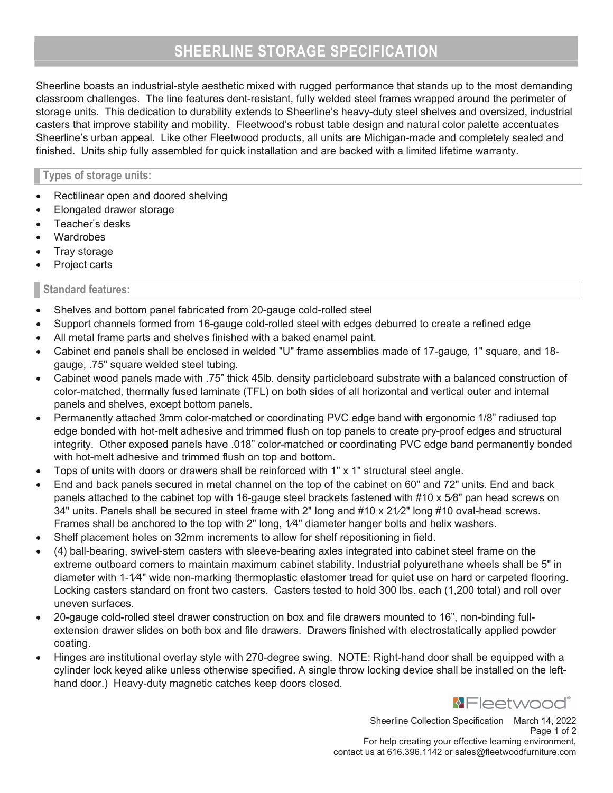# SHEERLINE STORAGE SPECIFICATION

Sheerline boasts an industrial-style aesthetic mixed with rugged performance that stands up to the most demanding classroom challenges. The line features dent-resistant, fully welded steel frames wrapped around the perimeter of storage units. This dedication to durability extends to Sheerline's heavy-duty steel shelves and oversized, industrial casters that improve stability and mobility. Fleetwood's robust table design and natural color palette accentuates Sheerline's urban appeal. Like other Fleetwood products, all units are Michigan-made and completely sealed and finished. Units ship fully assembled for quick installation and are backed with a limited lifetime warranty.

## Types of storage units:

- Rectilinear open and doored shelving
- Elongated drawer storage
- Teacher's desks
- **Wardrobes**
- Tray storage
- Project carts

## Standard features:

- Shelves and bottom panel fabricated from 20-gauge cold-rolled steel
- Support channels formed from 16-gauge cold-rolled steel with edges deburred to create a refined edge
- All metal frame parts and shelves finished with a baked enamel paint.
- Cabinet end panels shall be enclosed in welded "U" frame assemblies made of 17-gauge, 1" square, and 18 gauge, .75" square welded steel tubing.
- Cabinet wood panels made with .75" thick 45lb. density particleboard substrate with a balanced construction of color-matched, thermally fused laminate (TFL) on both sides of all horizontal and vertical outer and internal panels and shelves, except bottom panels.
- Permanently attached 3mm color-matched or coordinating PVC edge band with ergonomic 1/8" radiused top edge bonded with hot-melt adhesive and trimmed flush on top panels to create pry-proof edges and structural integrity. Other exposed panels have .018" color-matched or coordinating PVC edge band permanently bonded with hot-melt adhesive and trimmed flush on top and bottom.
- Tops of units with doors or drawers shall be reinforced with 1" x 1" structural steel angle.
- End and back panels secured in metal channel on the top of the cabinet on 60" and 72" units. End and back panels attached to the cabinet top with 16-gauge steel brackets fastened with #10 x 5»8" pan head screws on 34" units. Panels shall be secured in steel frame with 2" long and  $\#10 \times 21/2$ " long  $\#10$  oval-head screws. Frames shall be anchored to the top with 2" long,  $1/4$ " diameter hanger bolts and helix washers.
- Shelf placement holes on 32mm increments to allow for shelf repositioning in field.
- (4) ball-bearing, swivel-stem casters with sleeve-bearing axles integrated into cabinet steel frame on the extreme outboard corners to maintain maximum cabinet stability. Industrial polyurethane wheels shall be 5" in diameter with 1-1/4" wide non-marking thermoplastic elastomer tread for quiet use on hard or carpeted flooring. Locking casters standard on front two casters. Casters tested to hold 300 lbs. each (1,200 total) and roll over uneven surfaces.
- 20-gauge cold-rolled steel drawer construction on box and file drawers mounted to 16", non-binding fullextension drawer slides on both box and file drawers. Drawers finished with electrostatically applied powder coating.
- Hinges are institutional overlay style with 270-degree swing. NOTE: Right-hand door shall be equipped with a cylinder lock keyed alike unless otherwise specified. A single throw locking device shall be installed on the lefthand door.) Heavy-duty magnetic catches keep doors closed.



Sheerline Collection Specification March 14, 2022 Page 1 of 2 For help creating your effective learning environment, contact us at 616.396.1142 or sales@fleetwoodfurniture.com